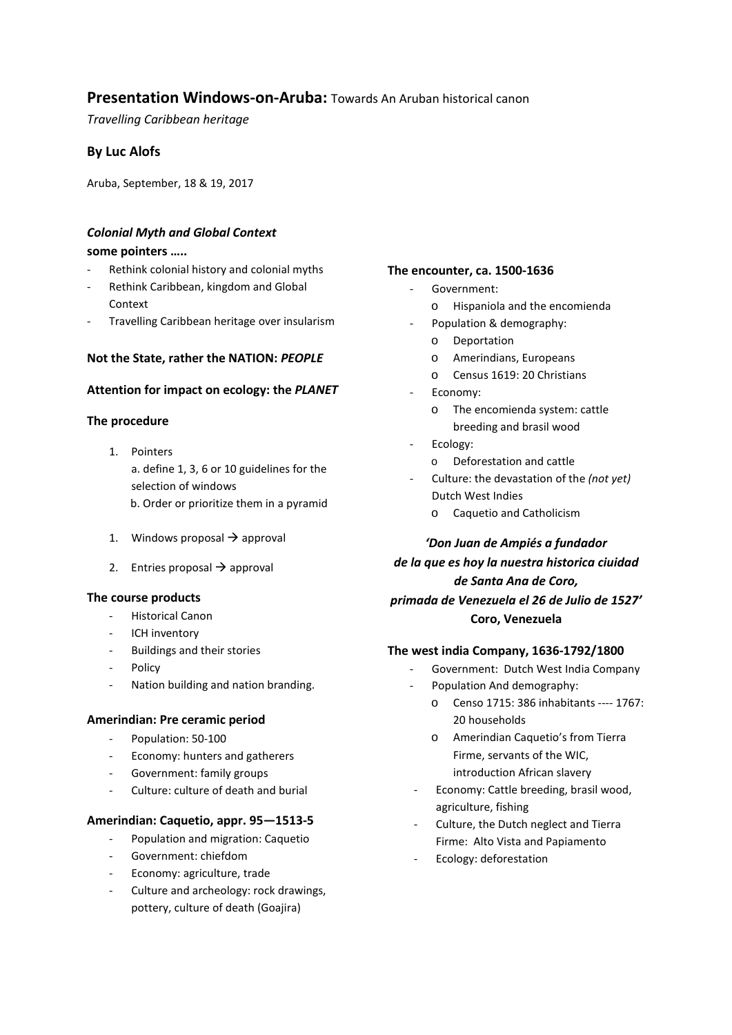# **Presentation Windows-on-Aruba:** Towards An Aruban historical canon

*Travelling Caribbean heritage*

## **By Luc Alofs**

Aruba, September, 18 & 19, 2017

## *Colonial Myth and Global Context*

### **some pointers …..**

- Rethink colonial history and colonial myths
- Rethink Caribbean, kingdom and Global Context
- Travelling Caribbean heritage over insularism

### **Not the State, rather the NATION:** *PEOPLE*

### **Attention for impact on ecology: the** *PLANET*

## **The procedure**

- 1. Pointers a. define 1, 3, 6 or 10 guidelines for the selection of windows b. Order or prioritize them in a pyramid
- 1. Windows proposal  $\rightarrow$  approval
- 2. Entries proposal  $\rightarrow$  approval

#### **The course products**

- Historical Canon
- ICH inventory
- Buildings and their stories
- Policy
- Nation building and nation branding.

#### **Amerindian: Pre ceramic period**

- Population: 50-100
- Economy: hunters and gatherers
- Government: family groups
- Culture: culture of death and burial
- **Amerindian: Caquetio, appr. 95—1513-5** 
	- Population and migration: Caquetio
	- Government: chiefdom
	- Economy: agriculture, trade
	- Culture and archeology: rock drawings, pottery, culture of death (Goajira)

### **The encounter, ca. 1500-1636**

- Government:
	- o Hispaniola and the encomienda
- Population & demography:
	- o Deportation
	- o Amerindians, Europeans
	- o Census 1619: 20 Christians
- Economy:
	- o The encomienda system: cattle breeding and brasil wood
- Ecology:
	- o Deforestation and cattle
- Culture: the devastation of the *(not yet)*  Dutch West Indies
	- o Caquetio and Catholicism

# *'Don Juan de Ampiés a fundador de la que es hoy la nuestra historica ciuidad de Santa Ana de Coro,*

*primada de Venezuela el 26 de Julio de 1527'* **Coro, Venezuela**

## **The west india Company, 1636-1792/1800**

- Government: Dutch West India Company
	- Population And demography:
		- o Censo 1715: 386 inhabitants ---- 1767: 20 households
		- o Amerindian Caquetio's from Tierra Firme, servants of the WIC, introduction African slavery
- Economy: Cattle breeding, brasil wood, agriculture, fishing
- Culture, the Dutch neglect and Tierra Firme: Alto Vista and Papiamento
- Ecology: deforestation